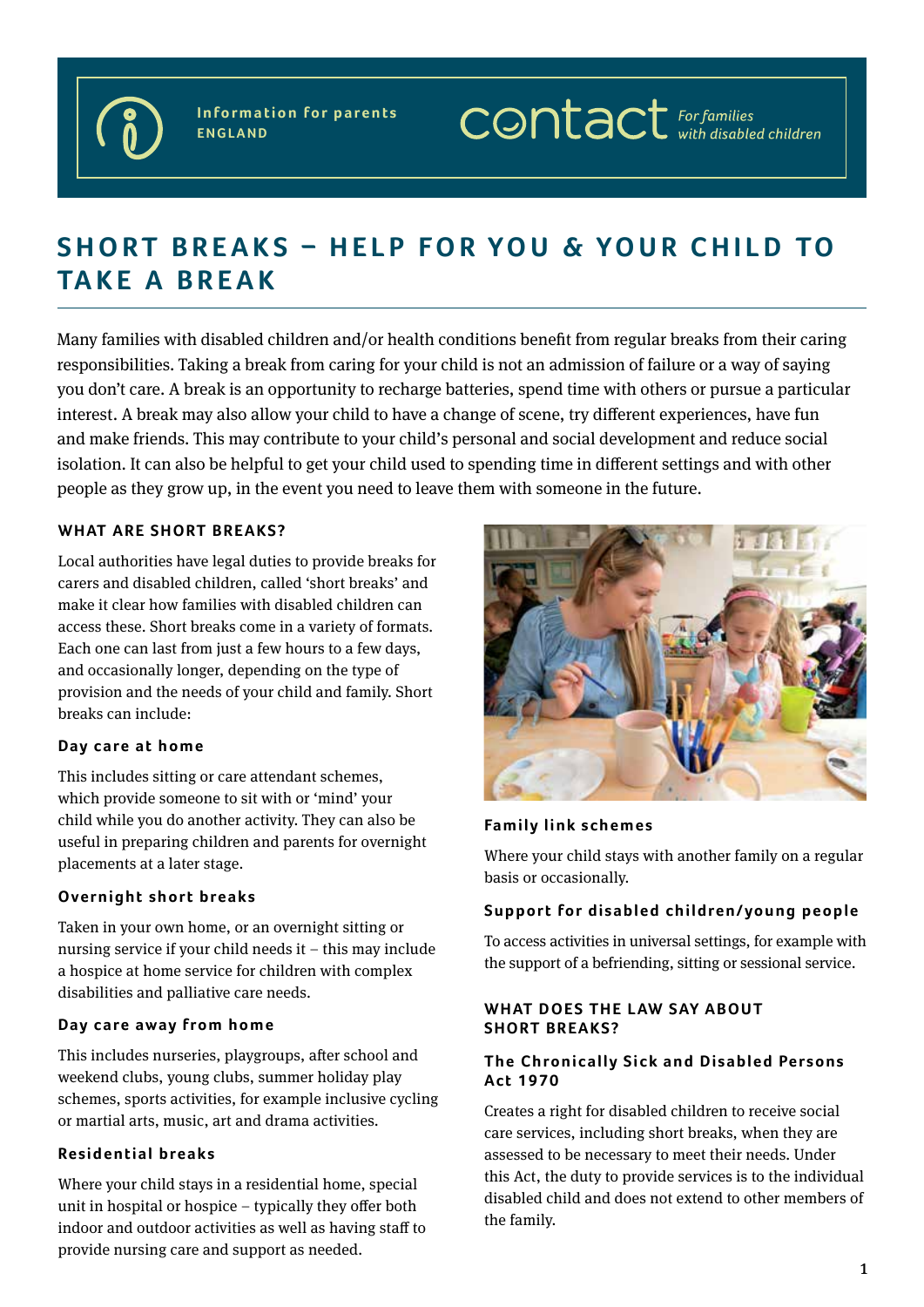

**Information for parents ENGLAND**

# $\mathsf{comtact}$  For families

# SHORT BREAKS - HELP FOR YOU & YOUR CHILD TO **TA K E A B R E A K**

Many families with disabled children and/or health conditions benefit from regular breaks from their caring responsibilities. Taking a break from caring for your child is not an admission of failure or a way of saying you don't care. A break is an opportunity to recharge batteries, spend time with others or pursue a particular interest. A break may also allow your child to have a change of scene, try different experiences, have fun and make friends. This may contribute to your child's personal and social development and reduce social isolation. It can also be helpful to get your child used to spending time in different settings and with other people as they grow up, in the event you need to leave them with someone in the future.

# **WHAT ARE SHORT BREAKS?**

Local authorities have legal duties to provide breaks for carers and disabled children, called 'short breaks' and make it clear how families with disabled children can access these. Short breaks come in a variety of formats. Each one can last from just a few hours to a few days, and occasionally longer, depending on the type of provision and the needs of your child and family. Short breaks can include:

#### Day care at home

This includes sitting or care attendant schemes, which provide someone to sit with or 'mind' your child while you do another activity. They can also be useful in preparing children and parents for overnight placements at a later stage.

#### **Overnight short breaks**

Taken in your own home, or an overnight sitting or nursing service if your child needs it – this may include a hospice at home service for children with complex disabilities and palliative care needs.

#### **Day care away from home**

This includes nurseries, playgroups, after school and weekend clubs, young clubs, summer holiday play schemes, sports activities, for example inclusive cycling or martial arts, music, art and drama activities.

#### **Residential breaks**

Where your child stays in a residential home, special unit in hospital or hospice – typically they offer both indoor and outdoor activities as well as having staff to provide nursing care and support as needed.



## **Family link schemes**

Where your child stays with another family on a regular basis or occasionally.

# Support for disabled children/young people

To access activities in universal settings, for example with the support of a befriending, sitting or sessional service.

#### **WHAT DOES THE LAW SAY ABOUT SHORT BREAKS?**

#### **The Chronically Sick and Disabled Persons Ac t 1 9 7 0**

Creates a right for disabled children to receive social care services, including short breaks, when they are assessed to be necessary to meet their needs. Under this Act, the duty to provide services is to the individual disabled child and does not extend to other members of the family.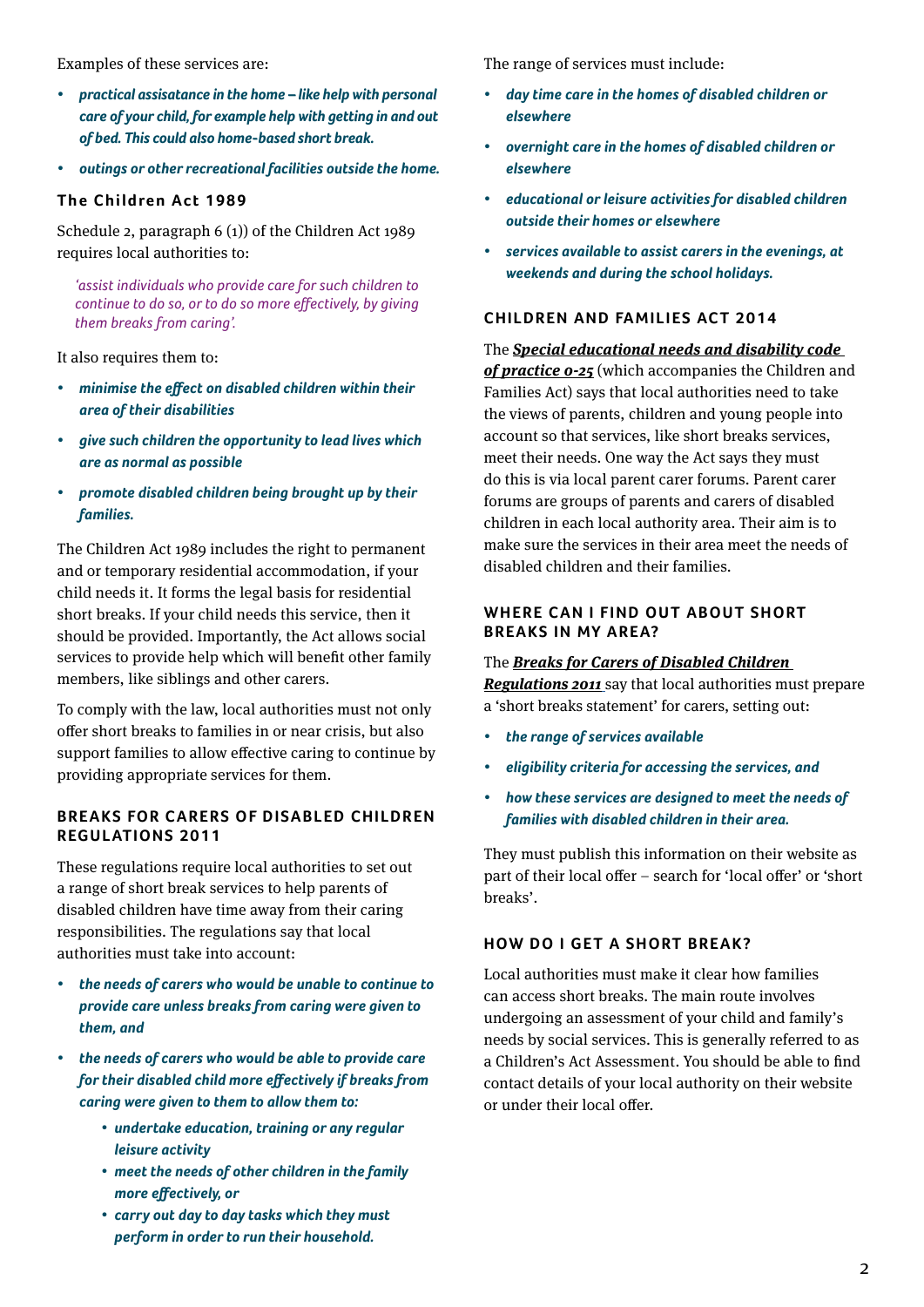Examples of these services are:

- *• practical assisatance in the home like help with personal care of your child, for example help with getting in and out of bed. This could also home-based short break.*
- *• outings or other recreational facilities outside the home.*

# **The Children Act 1989**

Schedule 2, paragraph 6 (1)) of the Children Act 1989 requires local authorities to:

*'assist individuals who provide care for such children to continue to do so, or to do so more effectively, by giving them breaks from caring'.*

It also requires them to:

- *• minimise the effect on disabled children within their area of their disabilities*
- *• give such children the opportunity to lead lives which are as normal as possible*
- *• promote disabled children being brought up by their families.*

The Children Act 1989 includes the right to permanent and or temporary residential accommodation, if your child needs it. It forms the legal basis for residential short breaks. If your child needs this service, then it should be provided. Importantly, the Act allows social services to provide help which will benefit other family members, like siblings and other carers.

To comply with the law, local authorities must not only offer short breaks to families in or near crisis, but also support families to allow effective caring to continue by providing appropriate services for them.

# **BREAKS FOR CARERS OF DISABLED CHILDREN REGULATIONS 2011**

These regulations require local authorities to set out a range of short break services to help parents of disabled children have time away from their caring responsibilities. The regulations say that local authorities must take into account:

- *• the needs of carers who would be unable to continue to provide care unless breaks from caring were given to them, and*
- *• the needs of carers who would be able to provide care for their disabled child more effectively if breaks from caring were given to them to allow them to:*
	- *• undertake education, training or any regular leisure activity*
	- *• meet the needs of other children in the family more effectively, or*
	- *• carry out day to day tasks which they must perform in order to run their household.*

The range of services must include:

- *• day time care in the homes of disabled children or elsewhere*
- *• overnight care in the homes of disabled children or elsewhere*
- *• educational or leisure activities for disabled children outside their homes or elsewhere*
- *• services available to assist carers in the evenings, at weekends and during the school holidays.*

# **CHILDREN AND FAMILIES ACT 2014**

The *[Special educational needs and disability code](https://www.gov.uk/government/publications/send-code-of-practice-0-to-25)  [of practice 0-25](https://www.gov.uk/government/publications/send-code-of-practice-0-to-25)* (which accompanies the Children and Families Act) says that local authorities need to take the views of parents, children and young people into account so that services, like short breaks services, meet their needs. One way the Act says they must do this is via local parent carer forums. Parent carer forums are groups of parents and carers of disabled children in each local authority area. Their aim is to make sure the services in their area meet the needs of disabled children and their families.

# **WHERE CAN I FIND OUT ABOUT SHORT BREAKS IN MY AREA?**

#### The *[Breaks for Carers of Disabled Children](https://www.legislation.gov.uk/uksi/2011/707/contents/made)*

*[Regulations 2011](https://www.legislation.gov.uk/uksi/2011/707/contents/made)* say that local authorities must prepare a 'short breaks statement' for carers, setting out:

- *• the range of services available*
- *• eligibility criteria for accessing the services, and*
- *• how these services are designed to meet the needs of families with disabled children in their area.*

They must publish this information on their website as part of their local offer – search for 'local offer' or 'short breaks'.

# **HOW DO I GET A SHORT BREAK?**

Local authorities must make it clear how families can access short breaks. The main route involves undergoing an assessment of your child and family's needs by social services. This is generally referred to as a Children's Act Assessment. You should be able to find contact details of your local authority on their website or under their local offer.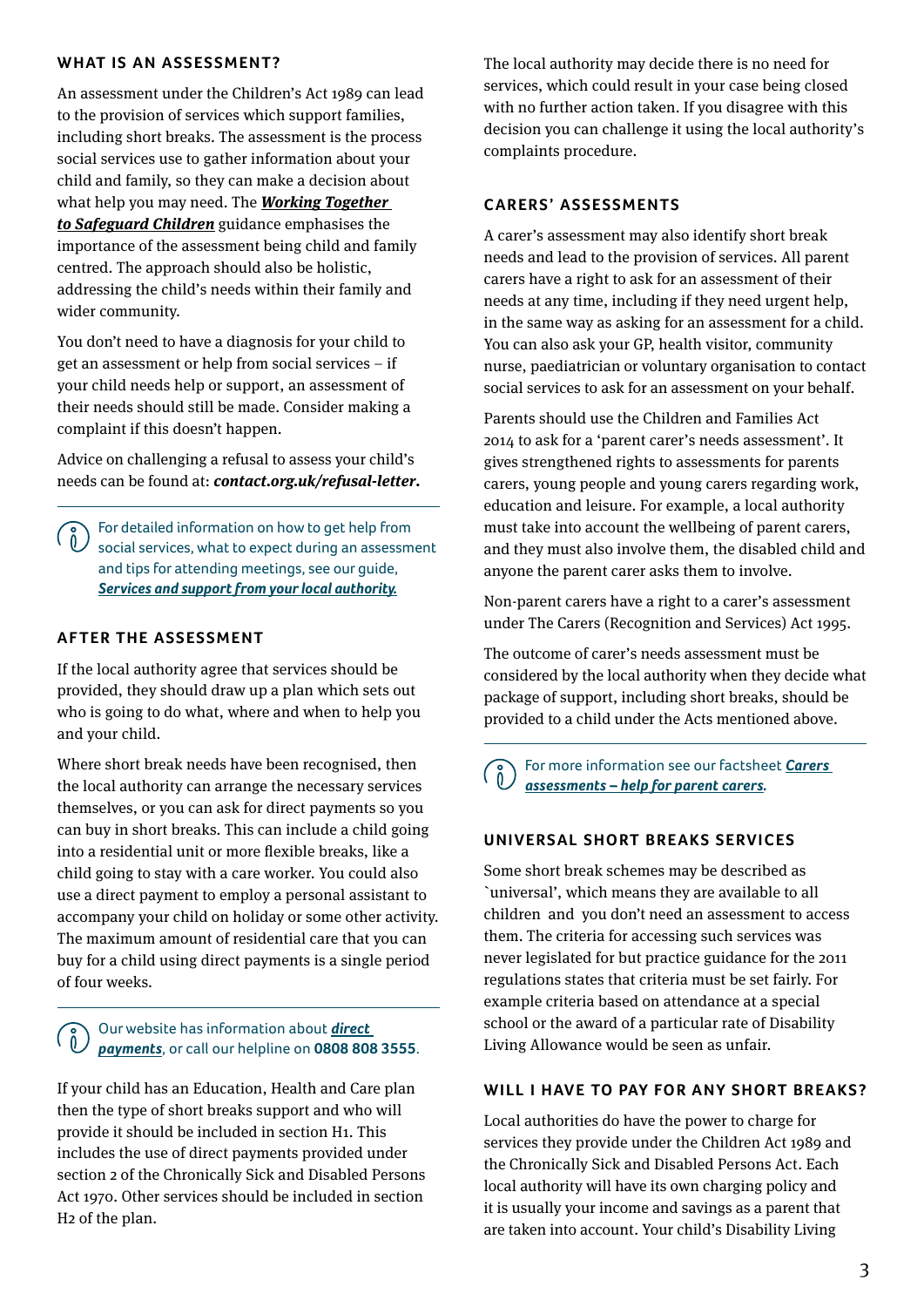# **WHAT IS AN ASSESSMENT?**

An assessment under the Children's Act 1989 can lead to the provision of services which support families, including short breaks. The assessment is the process social services use to gather information about your child and family, so they can make a decision about what help you may need. The *[Working Together](https://www.gov.uk/government/publications/working-together-to-safeguard-children--2)  [to Safeguard Children](https://www.gov.uk/government/publications/working-together-to-safeguard-children--2)* guidance emphasises the importance of the assessment being child and family centred. The approach should also be holistic, addressing the child's needs within their family and wider community.

You don't need to have a diagnosis for your child to get an assessment or help from social services – if your child needs help or support, an assessment of their needs should still be made. Consider making a complaint if this doesn't happen.

Advice on challenging a refusal to assess your child's needs can be found at: *[contact.org.uk/refusal-letter](http://www.contact.org.uk/refusal-letter)***.**

For detailed information on how to get help from ( ဂိ social services, what to expect during an assessment and tips for attending meetings, see our guide, *[Services and support from your local authority.](https://contact.org.uk/wp-content/uploads/2021/03/Services-and-support-from-your-local-authority.pdf)*

# **AFTER THE ASSESSMENT**

If the local authority agree that services should be provided, they should draw up a plan which sets out who is going to do what, where and when to help you and your child.

Where short break needs have been recognised, then the local authority can arrange the necessary services themselves, or you can ask for direct payments so you can buy in short breaks. This can include a child going into a residential unit or more flexible breaks, like a child going to stay with a care worker. You could also use a direct payment to employ a personal assistant to accompany your child on holiday or some other activity. The maximum amount of residential care that you can buy for a child using direct payments is a single period of four weeks.

# Our website has information about *[direct](https://contact.org.uk/help-for-families/information-advice-services/social-care/how-to-access-services/personal-budgets-and-direct-payments/)  [payments](https://contact.org.uk/help-for-families/information-advice-services/social-care/how-to-access-services/personal-budgets-and-direct-payments/)*, or call our helpline on **0808 808 3555**.

If your child has an Education, Health and Care plan then the type of short breaks support and who will provide it should be included in section H1. This includes the use of direct payments provided under [section 2 of the Chronically Sick and Disabled Persons](http://www.legislation.gov.uk/ukpga/1970/44/contents)  [Act 1970](http://www.legislation.gov.uk/ukpga/1970/44/contents). Other services should be included in section H2 of the plan.

The local authority may decide there is no need for services, which could result in your case being closed with no further action taken. If you disagree with this decision you can challenge it using the local authority's complaints procedure.

# **CARERS' ASSESSMENTS**

A carer's assessment may also identify short break needs and lead to the provision of services. All parent carers have a right to ask for an assessment of their needs at any time, including if they need urgent help, in the same way as asking for an assessment for a child. You can also ask your GP, health visitor, community nurse, paediatrician or voluntary organisation to contact social services to ask for an assessment on your behalf.

Parents should use the Children and Families Act 2014 to ask for a 'parent carer's needs assessment'. It gives strengthened rights to assessments for parents carers, young people and young carers regarding work, education and leisure. For example, a local authority must take into account the wellbeing of parent carers, and they must also involve them, the disabled child and anyone the parent carer asks them to involve.

Non-parent carers have a right to a carer's assessment under The Carers (Recognition and Services) Act 1995.

The outcome of carer's needs assessment must be considered by the local authority when they decide what package of support, including short breaks, should be provided to a child under the Acts mentioned above.

For more information see our factsheet *[Carers](https://contact.org.uk/advice-and-support/resource-library/carers-assessments-help-for-parent-carers-in-england/)  [assessments – help for parent carers](https://contact.org.uk/advice-and-support/resource-library/carers-assessments-help-for-parent-carers-in-england/).* 

# **UNIVERSAL SHORT BREAKS SERVICES**

Some short break schemes may be described as `universal', which means they are available to all children and you don't need an assessment to access them. The criteria for accessing such services was never legislated for but practice guidance for the 2011 regulations states that criteria must be set fairly. For example criteria based on attendance at a special school or the award of a particular rate of Disability Living Allowance would be seen as unfair.

#### **WILL I HAVE TO PAY FOR ANY SHORT BREAKS?**

Local authorities do have the power to charge for services they provide under the [Children Act 1989](http://www.legislation.gov.uk/ukpga/1989/41/contents) and the [Chronically Sick and Disabled Persons Act.](http://www.legislation.gov.uk/ukpga/1970/44/contents) Each local authority will have its own charging policy and it is usually your income and savings as a parent that are taken into account. Your child's Disability Living